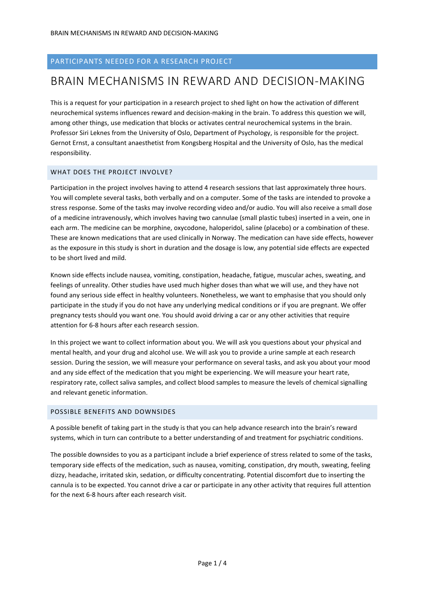# PARTICIPANTS NEEDED FOR A RESEARCH PROJECT

# BRAIN MECHANISMS IN REWARD AND DECISION-MAKING

This is a request for your participation in a research project to shed light on how the activation of different neurochemical systems influences reward and decision-making in the brain. To address this question we will, among other things, use medication that blocks or activates central neurochemical systems in the brain. Professor Siri Leknes from the University of Oslo, Department of Psychology, is responsible for the project. Gernot Ernst, a consultant anaesthetist from Kongsberg Hospital and the University of Oslo, has the medical responsibility.

#### WHAT DOES THE PROJECT INVOLVE?

Participation in the project involves having to attend 4 research sessions that last approximately three hours. You will complete several tasks, both verbally and on a computer. Some of the tasks are intended to provoke a stress response. Some of the tasks may involve recording video and/or audio. You will also receive a small dose of a medicine intravenously, which involves having two cannulae (small plastic tubes) inserted in a vein, one in each arm. The medicine can be morphine, oxycodone, haloperidol, saline (placebo) or a combination of these. These are known medications that are used clinically in Norway. The medication can have side effects, however as the exposure in this study is short in duration and the dosage is low, any potential side effects are expected to be short lived and mild.

Known side effects include nausea, vomiting, constipation, headache, fatigue, muscular aches, sweating, and feelings of unreality. Other studies have used much higher doses than what we will use, and they have not found any serious side effect in healthy volunteers. Nonetheless, we want to emphasise that you should only participate in the study if you do not have any underlying medical conditions or if you are pregnant. We offer pregnancy tests should you want one. You should avoid driving a car or any other activities that require attention for 6-8 hours after each research session.

In this project we want to collect information about you. We will ask you questions about your physical and mental health, and your drug and alcohol use. We will ask you to provide a urine sample at each research session. During the session, we will measure your performance on several tasks, and ask you about your mood and any side effect of the medication that you might be experiencing. We will measure your heart rate, respiratory rate, collect saliva samples, and collect blood samples to measure the levels of chemical signalling and relevant genetic information.

#### POSSIBLE BENEFITS AND DOWNSIDES

A possible benefit of taking part in the study is that you can help advance research into the brain's reward systems, which in turn can contribute to a better understanding of and treatment for psychiatric conditions.

The possible downsides to you as a participant include a brief experience of stress related to some of the tasks, temporary side effects of the medication, such as nausea, vomiting, constipation, dry mouth, sweating, feeling dizzy, headache, irritated skin, sedation, or difficulty concentrating. Potential discomfort due to inserting the cannula is to be expected. You cannot drive a car or participate in any other activity that requires full attention for the next 6-8 hours after each research visit.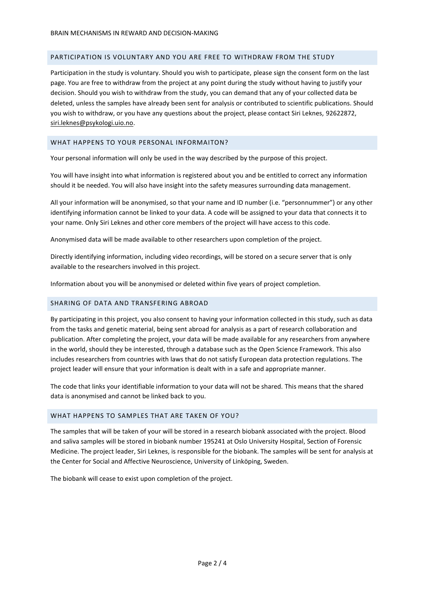#### PARTICIPATION IS VOLUNTARY AND YOU ARE FREE TO WITHDRAW FROM THE STUDY

Participation in the study is voluntary. Should you wish to participate, please sign the consent form on the last page. You are free to withdraw from the project at any point during the study without having to justify your decision. Should you wish to withdraw from the study, you can demand that any of your collected data be deleted, unless the samples have already been sent for analysis or contributed to scientific publications. Should you wish to withdraw, or you have any questions about the project, please contact Siri Leknes, 92622872, [siri.leknes@psykologi.uio.no.](mailto:siri.leknes@psykologi.uio.no)

#### WHAT HAPPENS TO YOUR PERSONAL INFORMAITON?

Your personal information will only be used in the way described by the purpose of this project.

You will have insight into what information is registered about you and be entitled to correct any information should it be needed. You will also have insight into the safety measures surrounding data management.

All your information will be anonymised, so that your name and ID number (i.e. "personnummer") or any other identifying information cannot be linked to your data. A code will be assigned to your data that connects it to your name. Only Siri Leknes and other core members of the project will have access to this code.

Anonymised data will be made available to other researchers upon completion of the project.

Directly identifying information, including video recordings, will be stored on a secure server that is only available to the researchers involved in this project.

Information about you will be anonymised or deleted within five years of project completion.

### SHARING OF DATA AND TRANSFERING ABROAD

By participating in this project, you also consent to having your information collected in this study, such as data from the tasks and genetic material, being sent abroad for analysis as a part of research collaboration and publication. After completing the project, your data will be made available for any researchers from anywhere in the world, should they be interested, through a database such as the Open Science Framework. This also includes researchers from countries with laws that do not satisfy European data protection regulations. The project leader will ensure that your information is dealt with in a safe and appropriate manner.

The code that links your identifiable information to your data will not be shared. This means that the shared data is anonymised and cannot be linked back to you.

#### WHAT HAPPENS TO SAMPLES THAT ARE TAKEN OF YOU?

The samples that will be taken of your will be stored in a research biobank associated with the project. Blood and saliva samples will be stored in biobank number 195241 at Oslo University Hospital, Section of Forensic Medicine. The project leader, Siri Leknes, is responsible for the biobank. The samples will be sent for analysis at the Center for Social and Affective Neuroscience, University of Linköping, Sweden.

The biobank will cease to exist upon completion of the project.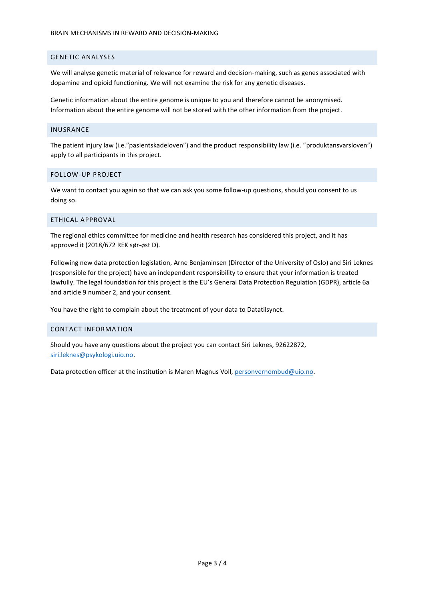# GENETIC ANALYSES

We will analyse genetic material of relevance for reward and decision-making, such as genes associated with dopamine and opioid functioning. We will not examine the risk for any genetic diseases.

Genetic information about the entire genome is unique to you and therefore cannot be anonymised. Information about the entire genome will not be stored with the other information from the project.

#### INUSRANCE

The patient injury law (i.e."pasientskadeloven") and the product responsibility law (i.e. "produktansvarsloven") apply to all participants in this project.

#### FOLLOW-UP PROJECT

We want to contact you again so that we can ask you some follow-up questions, should you consent to us doing so.

#### ETHICAL APPROVAL

The regional ethics committee for medicine and health research has considered this project, and it has approved it (2018/672 REK sør-øst D).

Following new data protection legislation, Arne Benjaminsen (Director of the University of Oslo) and Siri Leknes (responsible for the project) have an independent responsibility to ensure that your information is treated lawfully. The legal foundation for this project is the EU's General Data Protection Regulation (GDPR), article 6a and article 9 number 2, and your consent.

You have the right to complain about the treatment of your data to Datatilsynet.

#### CONTACT INFORMATION

Should you have any questions about the project you can contact Siri Leknes, 92622872, [siri.leknes@psykologi.uio.no.](mailto:siri.leknes@psykologi.uio.no)

Data protection officer at the institution is Maren Magnus Voll, [personvernombud@uio.no.](mailto:personvernombud@uio.no)